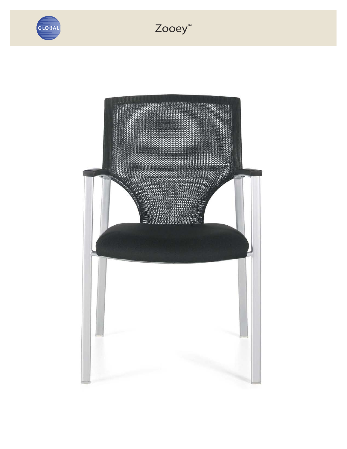

## Zooey<sup>™</sup>

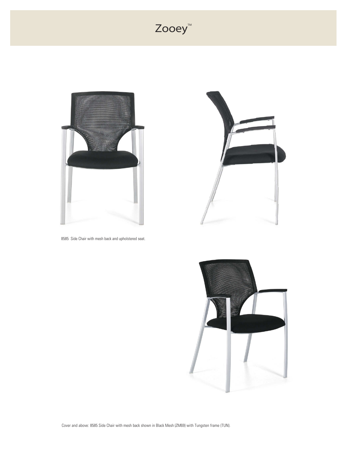## Zooey<sup>™</sup>